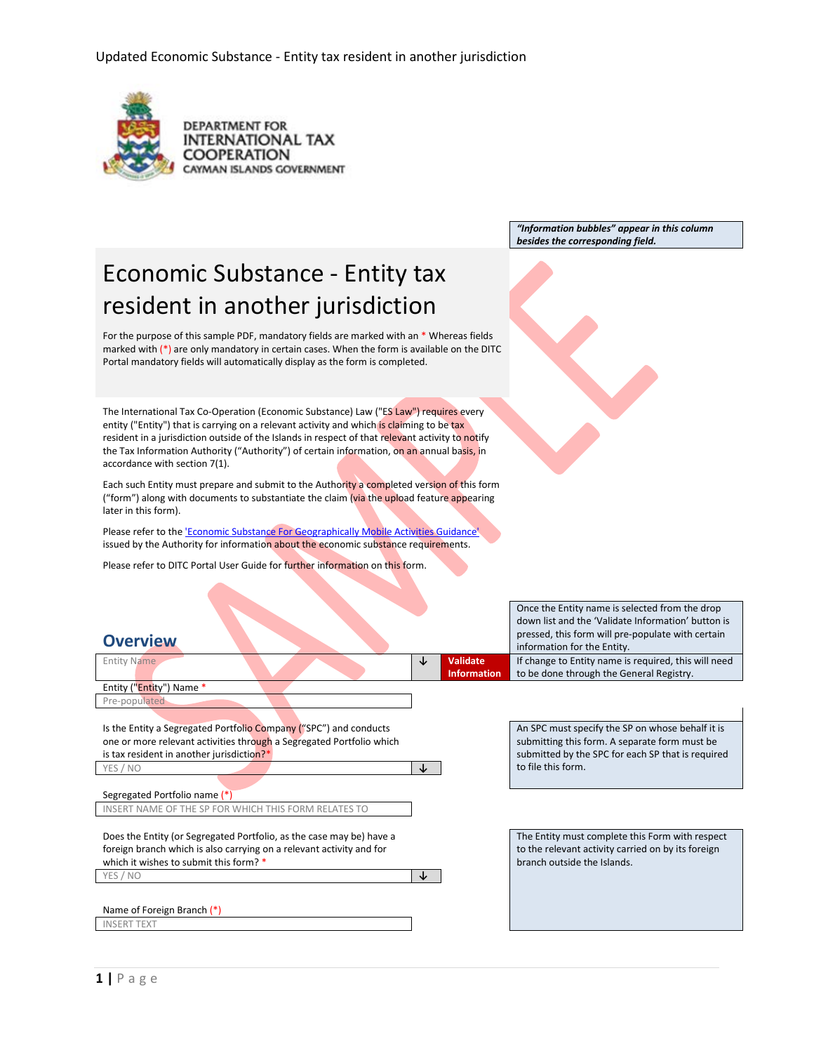

**DEPARTMENT FOR INTERNATIONAL TAX COOPERATION** CAYMAN ISLANDS GOVERNMENT

> *"Information bubbles" appear in this column besides the corresponding field.*

# Economic Substance - Entity tax resident in another jurisdiction

For the purpose of this sample PDF, mandatory fields are marked with an \* Whereas fields marked with  $(*)$  are only mandatory in certain cases. When the form is available on the DITC Portal mandatory fields will automatically display as the form is completed.

The International Tax Co-Operation (Economic Substance) Law ("ES Law") requires every entity ("Entity") that is carrying on a relevant activity and which is claiming to be tax resident in a jurisdiction outside of the Islands in respect of that relevant activity to notify the Tax Information Authority ("Authority") of certain information, on an annual basis, in accordance with section 7(1).

Each such Entity must prepare and submit to the Authority a completed version of this form ("form") along with documents to substantiate the claim (via the upload feature appearing later in this form).

Please refer to th[e 'Economic Substance For Geographically Mobile Activities Guidance'](https://www.ditc.ky/wp-content/uploads/Economic_Substance_-_Guidance_-_v3.0190713.pdf) issued by the Authority for information about the economic substance requirements.

Please refer to DITC Portal User Guide for further information on this form.

# Once the Entity name is selected from the drop down list and the 'Validate Information' button is **Pressed, this form will pre-populate with certain Overview** in Formation for the Entity. If change to Entity name is required, this will need to be done through the General Registry.

| <b>VEIVIEVV</b>                                                      |   |                    | information for the Entity.                          |
|----------------------------------------------------------------------|---|--------------------|------------------------------------------------------|
| <b>Entity Name</b>                                                   | ↓ | <b>Validate</b>    | If change to Entity name is required, this will need |
|                                                                      |   | <b>Information</b> | to be done through the General Registry.             |
| Entity ("Entity") Name *                                             |   |                    |                                                      |
| Pre-populated                                                        |   |                    |                                                      |
|                                                                      |   |                    |                                                      |
| Is the Entity a Segregated Portfolio Company ("SPC") and conducts    |   |                    | An SPC must specify the SP on whose behalf it is     |
| one or more relevant activities through a Segregated Portfolio which |   |                    | submitting this form. A separate form must be        |
| is tax resident in another jurisdiction?*                            |   |                    | submitted by the SPC for each SP that is required    |
| YES / NO                                                             | ↓ |                    | to file this form.                                   |
|                                                                      |   |                    |                                                      |
| Segregated Portfolio name (*)                                        |   |                    |                                                      |
| INSERT NAME OF THE SP FOR WHICH THIS FORM RELATES TO                 |   |                    |                                                      |
|                                                                      |   |                    |                                                      |
| Does the Entity (or Segregated Portfolio, as the case may be) have a |   |                    | The Entity must complete this Form with respect      |
| foreign branch which is also carrying on a relevant activity and for |   |                    | to the relevant activity carried on by its foreign   |
| which it wishes to submit this form? *                               |   |                    | branch outside the Islands.                          |
| YES / NO                                                             | ↓ |                    |                                                      |
|                                                                      |   |                    |                                                      |
| Name of Foreign Branch (*)                                           |   |                    |                                                      |
| <b>INSERT TEXT</b>                                                   |   |                    |                                                      |
|                                                                      |   |                    |                                                      |
|                                                                      |   |                    |                                                      |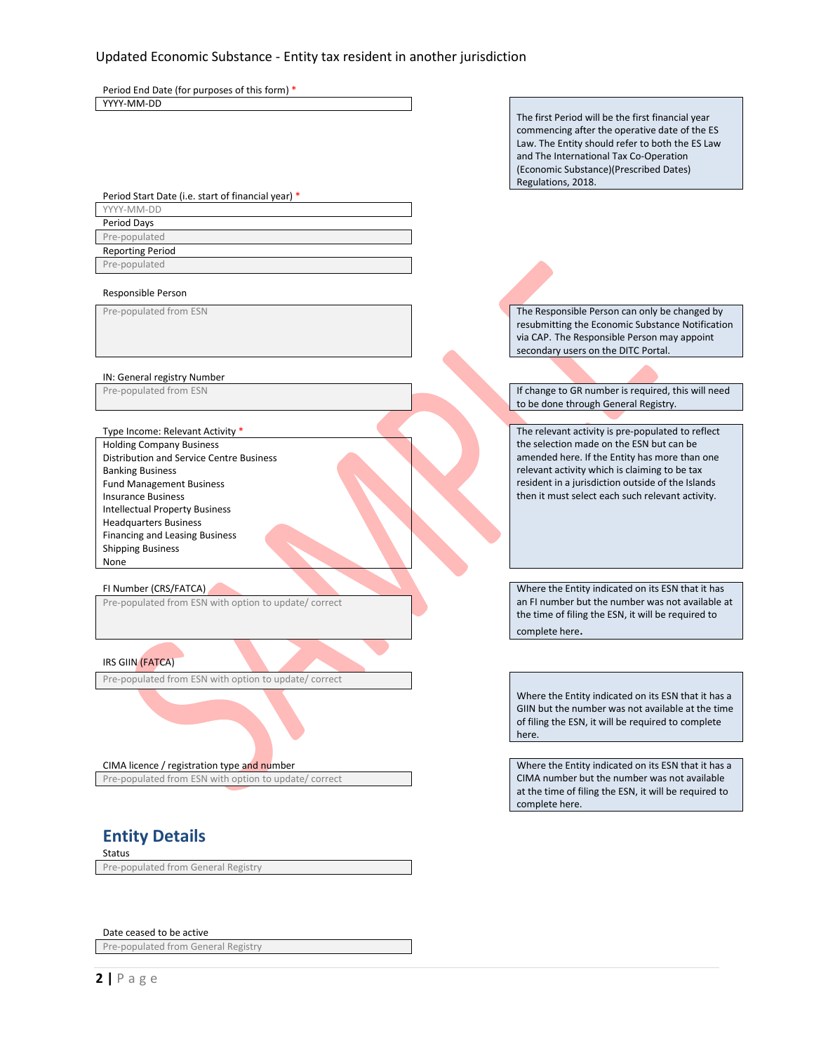Period End Date (for purposes of this form) \* YYYY-MM-DD

The first Period will be the first financial year commencing after the operative date of the ES Law. The Entity should refer to both the ES Law and The International Tax Co-Operation (Economic Substance)(Prescribed Dates) Regulations, 2018.

Period Start Date (i.e. start of financial year) \*

YYYY-MM-DD Period Days Pre-populated

Reporting Period Pre-populated

### Responsible Person

### IN: General registry Number

Holding Company Business Distribution and Service Centre Business Banking Business Fund Management Business Insurance Business Intellectual Property Business Headquarters Business Financing and Leasing Business Shipping Business None

Pre-populated from ESN with option to update/ correct

IRS GIIN (FATCA)

Pre-populated from ESN with option to update/ correct

CIMA licence / registration type and number Where the Entity indicated on its ESN that it has a Pre-populated from ESN with option to update/ correct

## **Entity Details**

Status

Pre-populated from General Registry

Date ceased to be active

Pre-populated from General Registry

**2 |** Page

Pre-populated from ESN The Responsible Person can only be changed by resubmitting the Economic Substance Notification via CAP. The Responsible Person may appoint secondary users on the DITC Portal.

Pre-populated from ESN **If change to GR number is required, this will need** to be done through General Registry.

Type Income: Relevant Activity \* The relevant activity is pre-populated to reflect the selection made on the ESN but can be amended here. If the Entity has more than one relevant activity which is claiming to be tax resident in a jurisdiction outside of the Islands then it must select each such relevant activity.

FI Number (CRS/FATCA) Where the Entity indicated on its ESN that it has an FI number but the number was not available at the time of filing the ESN, it will be required to complete here.

> Where the Entity indicated on its ESN that it has a GIIN but the number was not available at the time of filing the ESN, it will be required to complete here.

> CIMA number but the number was not available at the time of filing the ESN, it will be required to complete here.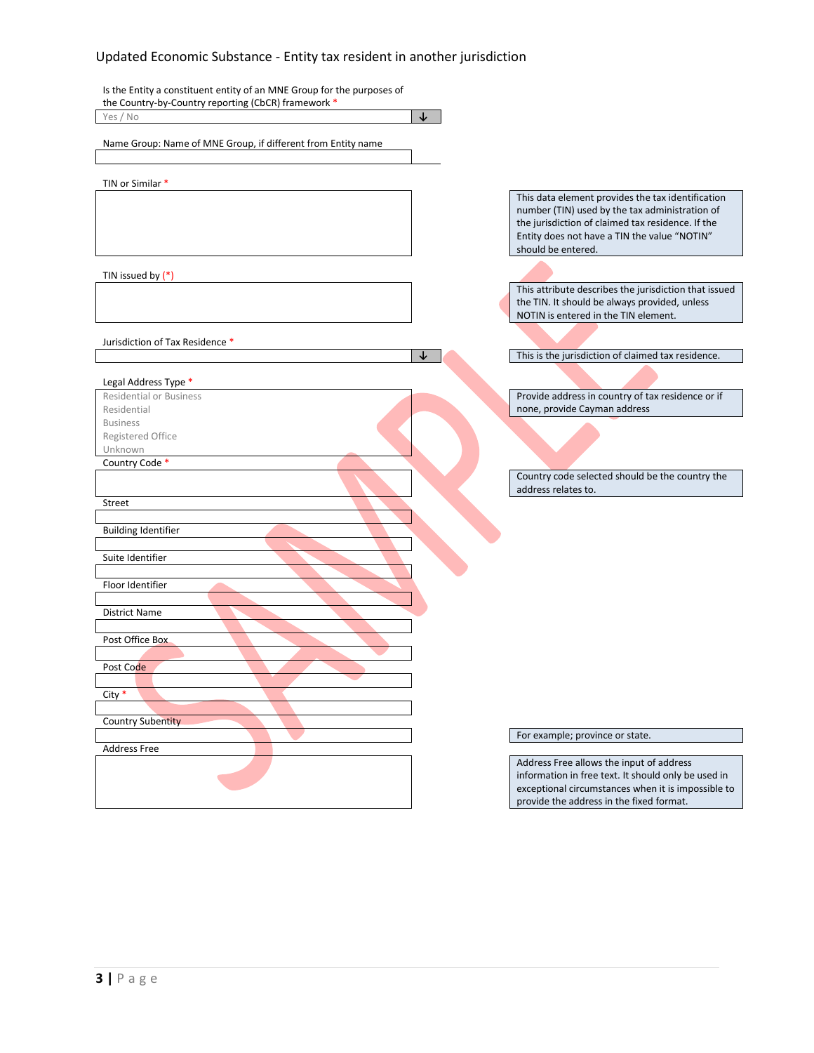| Is the Entity a constituent entity of an MNE Group for the purposes of |                                                                                                                                                                                                                                |
|------------------------------------------------------------------------|--------------------------------------------------------------------------------------------------------------------------------------------------------------------------------------------------------------------------------|
| the Country-by-Country reporting (CbCR) framework *                    |                                                                                                                                                                                                                                |
| Yes / No<br>↓                                                          |                                                                                                                                                                                                                                |
| Name Group: Name of MNE Group, if different from Entity name           |                                                                                                                                                                                                                                |
| TIN or Similar *                                                       |                                                                                                                                                                                                                                |
|                                                                        | This data element provides the tax identification<br>number (TIN) used by the tax administration of<br>the jurisdiction of claimed tax residence. If the<br>Entity does not have a TIN the value "NOTIN"<br>should be entered. |
| TIN issued by $(*)$                                                    |                                                                                                                                                                                                                                |
|                                                                        | This attribute describes the jurisdiction that issued<br>the TIN. It should be always provided, unless<br>NOTIN is entered in the TIN element.                                                                                 |
| Jurisdiction of Tax Residence *                                        |                                                                                                                                                                                                                                |
| ↓                                                                      | This is the jurisdiction of claimed tax residence.                                                                                                                                                                             |
| Legal Address Type *                                                   |                                                                                                                                                                                                                                |
| <b>Residential or Business</b><br>Residential                          | Provide address in country of tax residence or if<br>none, provide Cayman address                                                                                                                                              |
| <b>Business</b>                                                        |                                                                                                                                                                                                                                |
| Registered Office                                                      |                                                                                                                                                                                                                                |
| Unknown                                                                |                                                                                                                                                                                                                                |
| Country Code *                                                         | Country code selected should be the country the<br>address relates to.                                                                                                                                                         |
| <b>Street</b>                                                          |                                                                                                                                                                                                                                |
| <b>Building Identifier</b>                                             |                                                                                                                                                                                                                                |
| Suite Identifier                                                       |                                                                                                                                                                                                                                |
| Floor Identifier                                                       |                                                                                                                                                                                                                                |
| <b>District Name</b>                                                   |                                                                                                                                                                                                                                |
| Post Office Box                                                        |                                                                                                                                                                                                                                |
|                                                                        |                                                                                                                                                                                                                                |
| Post Code                                                              |                                                                                                                                                                                                                                |
| City $*$                                                               |                                                                                                                                                                                                                                |
|                                                                        |                                                                                                                                                                                                                                |
| <b>Country Subentity</b>                                               |                                                                                                                                                                                                                                |
|                                                                        | For example; province or state.                                                                                                                                                                                                |
| <b>Address Free</b>                                                    | Address Free allows the input of address<br>information in free text. It should only be used in                                                                                                                                |
|                                                                        | exceptional circumstances when it is impossible to<br>provide the address in the fixed format.                                                                                                                                 |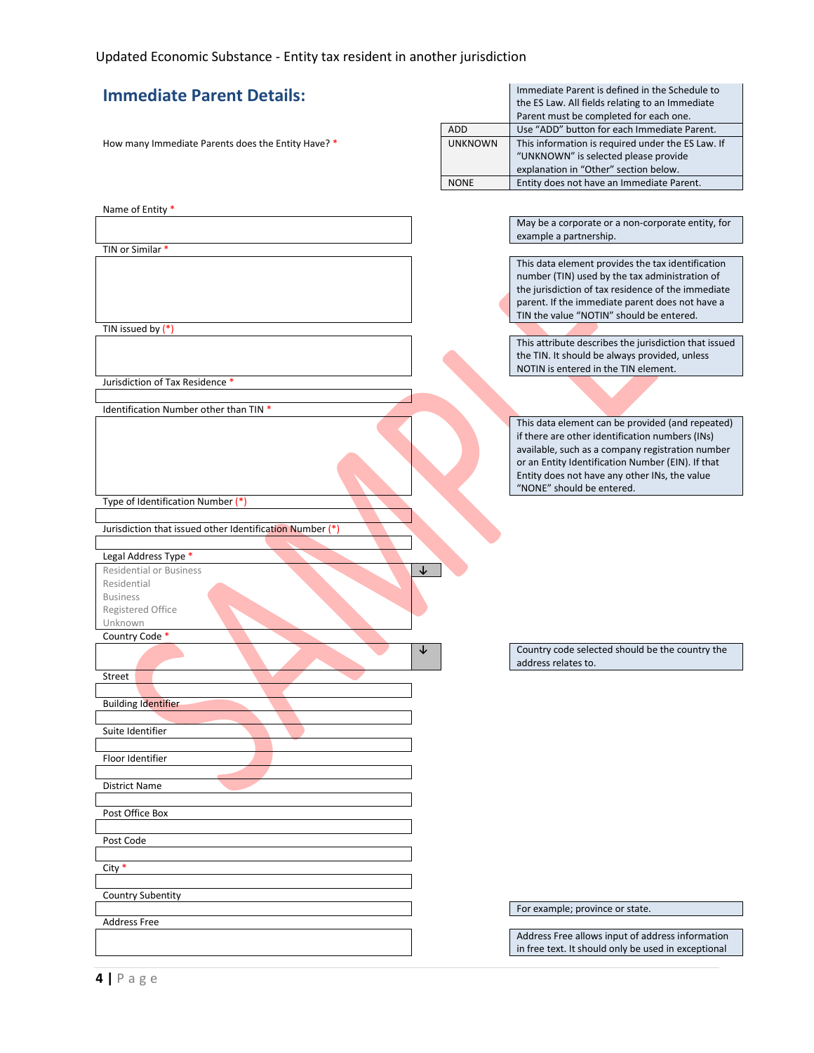| <b>Immediate Parent Details:</b>                         |                | Immediate Parent is defined in the Schedule to<br>the ES Law. All fields relating to an Immediate<br>Parent must be completed for each one. |
|----------------------------------------------------------|----------------|---------------------------------------------------------------------------------------------------------------------------------------------|
|                                                          | <b>ADD</b>     | Use "ADD" button for each Immediate Parent.                                                                                                 |
| How many Immediate Parents does the Entity Have? *       | <b>UNKNOWN</b> | This information is required under the ES Law. If                                                                                           |
|                                                          |                | "UNKNOWN" is selected please provide                                                                                                        |
|                                                          |                | explanation in "Other" section below.                                                                                                       |
|                                                          | <b>NONE</b>    | Entity does not have an Immediate Parent.                                                                                                   |
|                                                          |                |                                                                                                                                             |
| Name of Entity *                                         |                |                                                                                                                                             |
|                                                          |                | May be a corporate or a non-corporate entity, for                                                                                           |
|                                                          |                | example a partnership.                                                                                                                      |
| TIN or Similar *                                         |                | This data element provides the tax identification                                                                                           |
|                                                          |                | number (TIN) used by the tax administration of                                                                                              |
|                                                          |                | the jurisdiction of tax residence of the immediate                                                                                          |
|                                                          |                | parent. If the immediate parent does not have a                                                                                             |
|                                                          |                | TIN the value "NOTIN" should be entered.                                                                                                    |
| TIN issued by $(*)$                                      |                |                                                                                                                                             |
|                                                          |                | This attribute describes the jurisdiction that issued                                                                                       |
|                                                          |                | the TIN. It should be always provided, unless                                                                                               |
|                                                          |                | NOTIN is entered in the TIN element.                                                                                                        |
| Jurisdiction of Tax Residence *                          |                |                                                                                                                                             |
|                                                          |                |                                                                                                                                             |
| Identification Number other than TIN *                   |                |                                                                                                                                             |
|                                                          |                | This data element can be provided (and repeated)                                                                                            |
|                                                          |                | if there are other identification numbers (INs)<br>available, such as a company registration number                                         |
|                                                          |                | or an Entity Identification Number (EIN). If that                                                                                           |
|                                                          |                | Entity does not have any other INs, the value                                                                                               |
|                                                          |                | "NONE" should be entered.                                                                                                                   |
| Type of Identification Number (*)                        |                |                                                                                                                                             |
|                                                          |                |                                                                                                                                             |
| Jurisdiction that issued other Identification Number (*) |                |                                                                                                                                             |
|                                                          |                |                                                                                                                                             |
| Legal Address Type *                                     |                |                                                                                                                                             |
| <b>Residential or Business</b><br>↓                      |                |                                                                                                                                             |
| Residential                                              |                |                                                                                                                                             |
| <b>Business</b><br>Registered Office                     |                |                                                                                                                                             |
| Unknown                                                  |                |                                                                                                                                             |
| Country Code *                                           |                |                                                                                                                                             |
| ↓                                                        |                | Country code selected should be the country the                                                                                             |
|                                                          |                | address relates to.                                                                                                                         |
| street                                                   |                |                                                                                                                                             |
|                                                          |                |                                                                                                                                             |
| <b>Building Identifier</b>                               |                |                                                                                                                                             |
|                                                          |                |                                                                                                                                             |
| Suite Identifier                                         |                |                                                                                                                                             |
| Floor Identifier                                         |                |                                                                                                                                             |
|                                                          |                |                                                                                                                                             |
| District Name                                            |                |                                                                                                                                             |
|                                                          |                |                                                                                                                                             |
| Post Office Box                                          |                |                                                                                                                                             |
|                                                          |                |                                                                                                                                             |
| Post Code                                                |                |                                                                                                                                             |
|                                                          |                |                                                                                                                                             |
| City $*$                                                 |                |                                                                                                                                             |
|                                                          |                |                                                                                                                                             |
| <b>Country Subentity</b>                                 |                |                                                                                                                                             |
|                                                          |                | For example; province or state.                                                                                                             |
| <b>Address Free</b>                                      |                | Address Free allows input of address information                                                                                            |
|                                                          |                | in free text. It should only be used in exceptional                                                                                         |
|                                                          |                |                                                                                                                                             |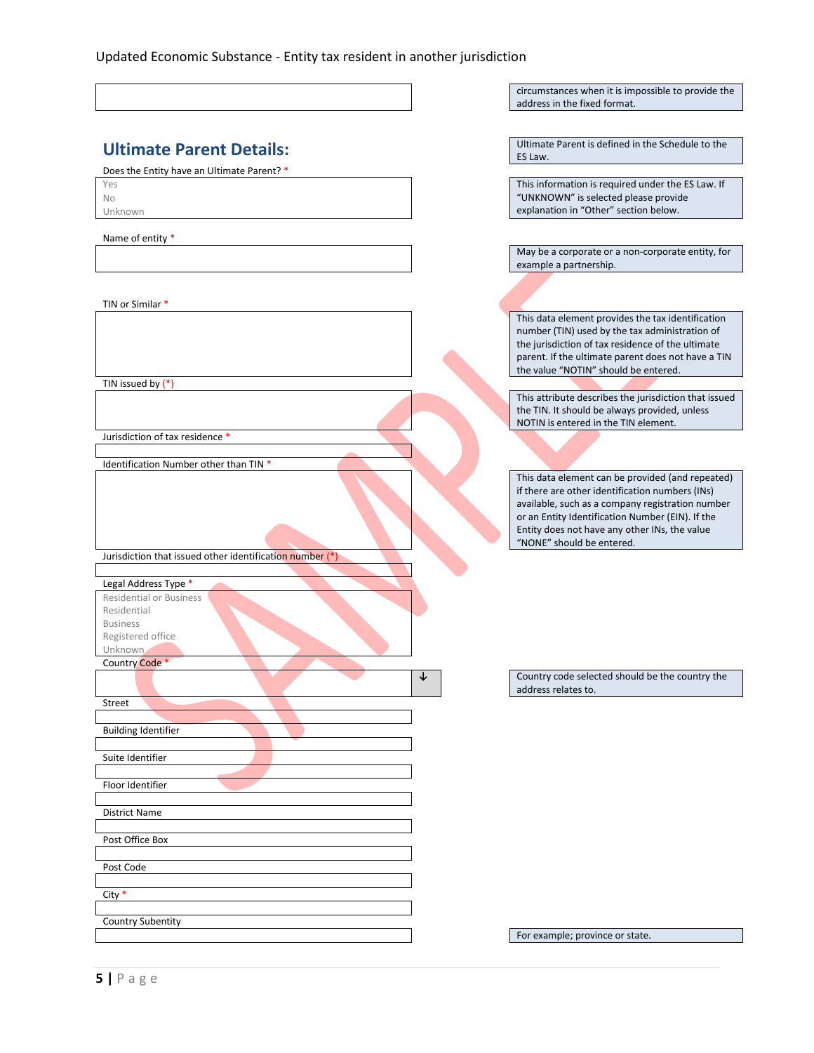|                                                          |         | circumstances when it is impossible to provide the<br>address in the fixed format.                                                                                                                                                                                                        |
|----------------------------------------------------------|---------|-------------------------------------------------------------------------------------------------------------------------------------------------------------------------------------------------------------------------------------------------------------------------------------------|
|                                                          |         |                                                                                                                                                                                                                                                                                           |
| <b>Ultimate Parent Details:</b>                          | ES Law. | Ultimate Parent is defined in the Schedule to the                                                                                                                                                                                                                                         |
| Does the Entity have an Ultimate Parent? *               |         |                                                                                                                                                                                                                                                                                           |
| Yes<br>No<br>Unknown                                     |         | This information is required under the ES Law. If<br>"UNKNOWN" is selected please provide<br>explanation in "Other" section below.                                                                                                                                                        |
| Name of entity *                                         |         |                                                                                                                                                                                                                                                                                           |
|                                                          |         | May be a corporate or a non-corporate entity, for<br>example a partnership.                                                                                                                                                                                                               |
|                                                          |         |                                                                                                                                                                                                                                                                                           |
| TIN or Similar *                                         |         |                                                                                                                                                                                                                                                                                           |
|                                                          |         | This data element provides the tax identification<br>number (TIN) used by the tax administration of<br>the jurisdiction of tax residence of the ultimate<br>parent. If the ultimate parent does not have a TIN<br>the value "NOTIN" should be entered.                                    |
| TIN issued by $(*)$                                      |         | This attribute describes the jurisdiction that issued                                                                                                                                                                                                                                     |
|                                                          |         | the TIN. It should be always provided, unless<br>NOTIN is entered in the TIN element.                                                                                                                                                                                                     |
| Jurisdiction of tax residence *                          |         |                                                                                                                                                                                                                                                                                           |
| Identification Number other than TIN *                   |         |                                                                                                                                                                                                                                                                                           |
|                                                          |         | This data element can be provided (and repeated)<br>if there are other identification numbers (INs)<br>available, such as a company registration number<br>or an Entity Identification Number (EIN). If the<br>Entity does not have any other INs, the value<br>"NONE" should be entered. |
| Jurisdiction that issued other identification number (*) |         |                                                                                                                                                                                                                                                                                           |
| Legal Address Type *                                     |         |                                                                                                                                                                                                                                                                                           |
| <b>Residential or Business</b><br>Residential            |         |                                                                                                                                                                                                                                                                                           |
| <b>Business</b>                                          |         |                                                                                                                                                                                                                                                                                           |
| Registered office<br>Unknown,                            |         |                                                                                                                                                                                                                                                                                           |
| Country Code *                                           |         |                                                                                                                                                                                                                                                                                           |
|                                                          |         | Country code selected should be the country the<br>address relates to.                                                                                                                                                                                                                    |
| Street                                                   |         |                                                                                                                                                                                                                                                                                           |
| <b>Building Identifier</b>                               |         |                                                                                                                                                                                                                                                                                           |
| Suite Identifier                                         |         |                                                                                                                                                                                                                                                                                           |
| Floor Identifier                                         |         |                                                                                                                                                                                                                                                                                           |
| District Name                                            |         |                                                                                                                                                                                                                                                                                           |
|                                                          |         |                                                                                                                                                                                                                                                                                           |
| Post Office Box                                          |         |                                                                                                                                                                                                                                                                                           |
| Post Code                                                |         |                                                                                                                                                                                                                                                                                           |
| $City *$                                                 |         |                                                                                                                                                                                                                                                                                           |
| <b>Country Subentity</b>                                 |         |                                                                                                                                                                                                                                                                                           |
|                                                          |         | For example; province or state.                                                                                                                                                                                                                                                           |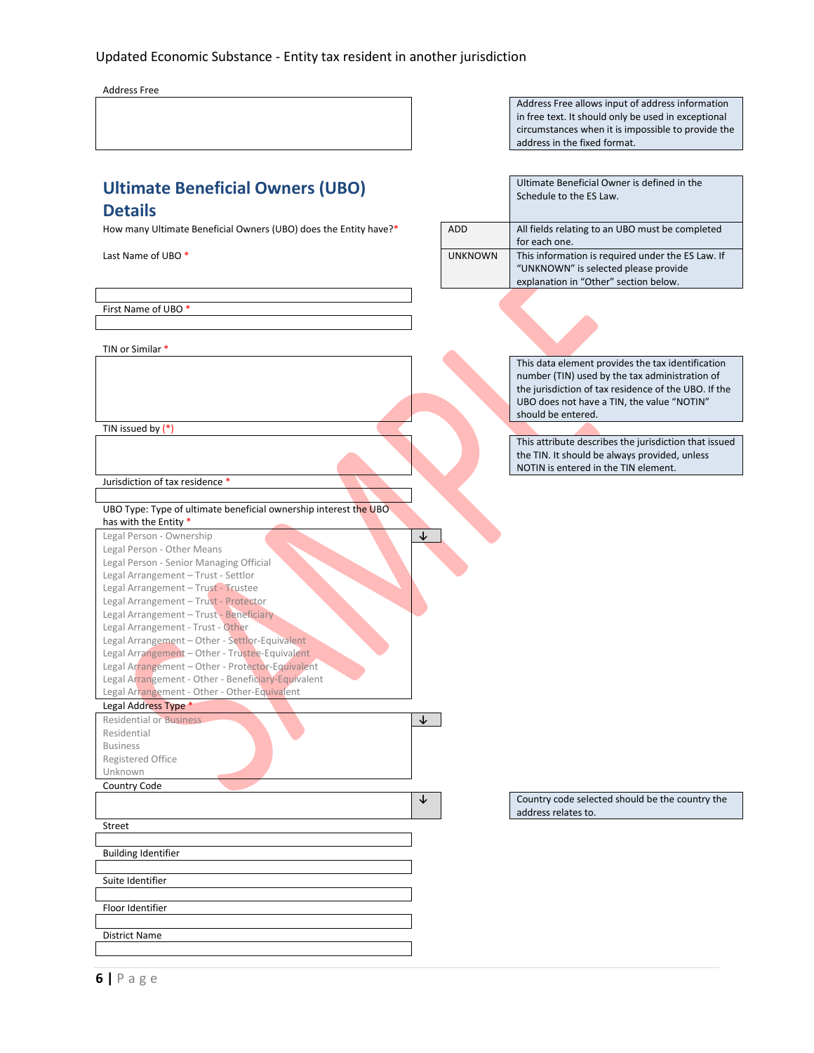Address Free

Address Free allows input of address information in free text. It should only be used in exceptional circumstances when it is impossible to provide the address in the fixed format.

Ultimate Beneficial Owner is defined in the

Schedule to the ES Law.

# **Ultimate Beneficial Owners (UBO) Details**<br>How many U

| How many Ultimate Beneficial Owners (UBO) does the Entity have?*                    | <b>ADD</b>     | All fields relating to an UBO must be completed<br>for each one.                      |
|-------------------------------------------------------------------------------------|----------------|---------------------------------------------------------------------------------------|
| Last Name of UBO*                                                                   | <b>UNKNOWN</b> | This information is required under the ES Law. If                                     |
|                                                                                     |                | "UNKNOWN" is selected please provide                                                  |
|                                                                                     |                | explanation in "Other" section below.                                                 |
|                                                                                     |                |                                                                                       |
| First Name of UBO*                                                                  |                |                                                                                       |
|                                                                                     |                |                                                                                       |
|                                                                                     |                |                                                                                       |
| TIN or Similar *                                                                    |                |                                                                                       |
|                                                                                     |                | This data element provides the tax identification                                     |
|                                                                                     |                | number (TIN) used by the tax administration of                                        |
|                                                                                     |                | the jurisdiction of tax residence of the UBO. If the                                  |
|                                                                                     |                | UBO does not have a TIN, the value "NOTIN"                                            |
|                                                                                     |                | should be entered.                                                                    |
| TIN issued by $(*)$                                                                 |                |                                                                                       |
|                                                                                     |                | This attribute describes the jurisdiction that issued                                 |
|                                                                                     |                | the TIN. It should be always provided, unless<br>NOTIN is entered in the TIN element. |
| Jurisdiction of tax residence *                                                     |                |                                                                                       |
|                                                                                     |                |                                                                                       |
| UBO Type: Type of ultimate beneficial ownership interest the UBO                    |                |                                                                                       |
| has with the Entity *                                                               |                |                                                                                       |
| Legal Person - Ownership                                                            | $\downarrow$   |                                                                                       |
| Legal Person - Other Means                                                          |                |                                                                                       |
| Legal Person - Senior Managing Official                                             |                |                                                                                       |
| Legal Arrangement - Trust - Settlor                                                 |                |                                                                                       |
| Legal Arrangement - Trust - Trustee                                                 |                |                                                                                       |
| Legal Arrangement - Trust - Protector                                               |                |                                                                                       |
| Legal Arrangement - Trust - Beneficiary                                             |                |                                                                                       |
| Legal Arrangement - Trust - Other<br>Legal Arrangement - Other - Settlor-Equivalent |                |                                                                                       |
| Legal Arrangement - Other - Trustee-Equivalent                                      |                |                                                                                       |
| Legal Arrangement - Other - Protector-Equivalent                                    |                |                                                                                       |
| Legal Arrangement - Other - Beneficiary-Equivalent                                  |                |                                                                                       |
| Legal Arrangement - Other - Other-Equivalent                                        |                |                                                                                       |
| Legal Address Type *                                                                |                |                                                                                       |
| <b>Residential or Business</b>                                                      | ↓              |                                                                                       |
| Residential                                                                         |                |                                                                                       |
| <b>Business</b>                                                                     |                |                                                                                       |
| Registered Office                                                                   |                |                                                                                       |
| Unknown                                                                             |                |                                                                                       |
| Country Code                                                                        |                |                                                                                       |
|                                                                                     | ↓              | Country code selected should be the country the<br>address relates to.                |
| Street                                                                              |                |                                                                                       |
|                                                                                     |                |                                                                                       |
| <b>Building Identifier</b>                                                          |                |                                                                                       |
|                                                                                     |                |                                                                                       |
| Suite Identifier                                                                    |                |                                                                                       |
|                                                                                     |                |                                                                                       |
| Floor Identifier                                                                    |                |                                                                                       |
| <b>District Name</b>                                                                |                |                                                                                       |
|                                                                                     |                |                                                                                       |